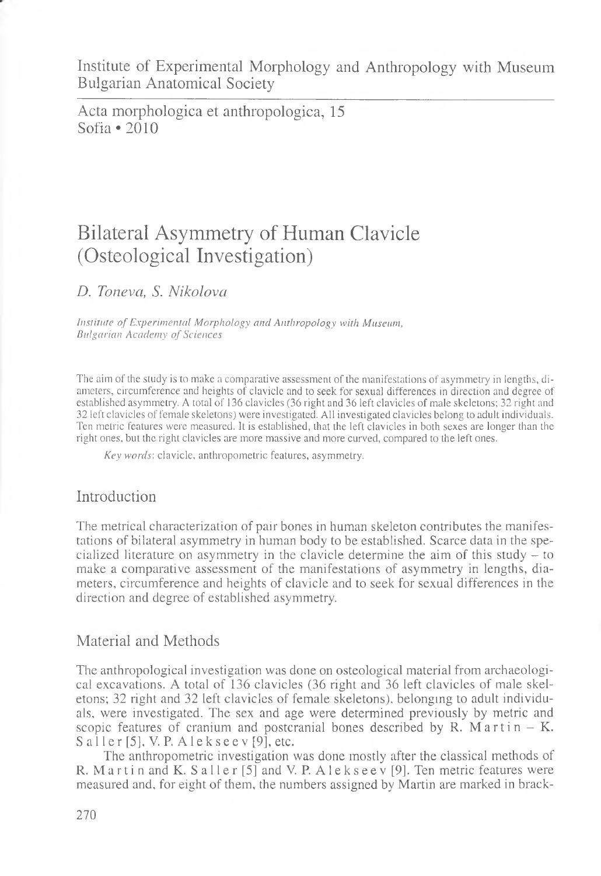Acta morphologica et anthropologica, 15 Sofia \*2010

# Bilateral Asymmetry of Human Clavicle (Osteological Investigation)

*D. Toneva, S. Nikolova*

*Institute of Experimental Morphology and Anthropology with Museum, Bulgarian Academy of Sciences*

The aim of the study is to make a comparative assessment of the manifestations of asymmetry in lengths, diameters, circumference and heights of clavicle and to seek for sexual differences in direction and degree of established asymmetry. A total of 136 clavicles (36 right and 36 left clavicles of male skeletons; 32 right and 32 left clavicles of female skeletons) were investigated. All investigated clavicles belong to adult individuals. Ten metric features were measured. It is established, that the left clavicles in both sexes are longer than the right ones, but the right clavicles are more massive and more curved, compared to the left ones.

*Key words',* clavicle, anthropometric features, asymmetry.

## Introduction

The metrical characterization of pair bones in human skeleton contributes the manifestations of bilateral asymmetry in human body to be established. Scarce data in the specialized literature on asymmetry in the clavicle determine the aim of this study - to make a comparative assessment of the manifestations of asymmetry in lengths, diameters, circumference and heights of clavicle and to seek for sexual differences in the direction and degree of established asymmetry.

## Material and Methods

The anthropological investigation was done on osteological material from archaeological excavations. A total of 136 clavicles (36 right and 36 left clavicles of male skeletons; 32 right and 32 left clavicles of female skeletons), belonging to adult individuals, were investigated. The sex and age were determined previously by metric and scopic features of cranium and postcranial bones described by R. M a rtin  $-$  K.  $S$  aller [5], V. P. Alekseev [9], etc.

The anthropometric investigation was done mostly after the classical methods of R. M a r t i n and K. S a l l e r [5] and V. P. A l e k s e e v [9]. Ten metric features were measured and, for eight of them, the numbers assigned by Martin are marked in brack-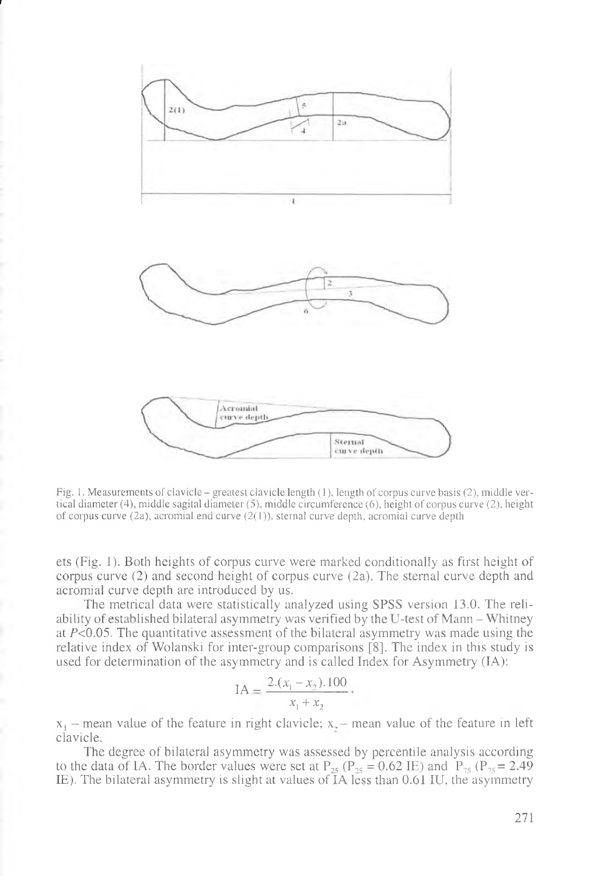

**1**

Fig. 1. Measurements of clavicle - greatest clavicle length (1), length of corpus curve basis (2), middle vertical diameter (4), middle sagital diameter (5), middle circumference (6), height of corpus curve (2), height of corpus curve (2a), acromial end curve (2(1)), sternal curve depth, acromial curve depth

ets (Fig. 1). Both heights of corpus curve were marked conditionally as first height of corpus curve (2) and second height of corpus curve (2a). The sternal curve depth and acromial curve depth are introduced by us.

The metrical data were statistically analyzed using SPSS version 13.0. The reliability of established bilateral asymmetry was verified by the U-test of Mann - Whitney at  $P<0.05$ . The quantitative assessment of the bilateral asymmetry was made using the relative index of Wolanski for inter-group comparisons [8]. The index in this study is used for determination of the asymmetry and is called Index for Asymmetry (IA):

$$
IA = \frac{2.(x_1 - x_2).100}{x_1 + x_2} +
$$

 $x_1$  – mean value of the feature in right clavicle;  $x_2$  – mean value of the feature in left clavicle.

The degree of bilateral asymmetry was assessed by percentile analysis according to the data of IA. The border values were set at  $P_{25}$  ( $P_{25} = 0.62$  IE) and  $P_{75}$  ( $P_{75} = 2.49$ IE). The bilateral asymmetry is slight at values of IA less than 0.61 IU, the asymmetry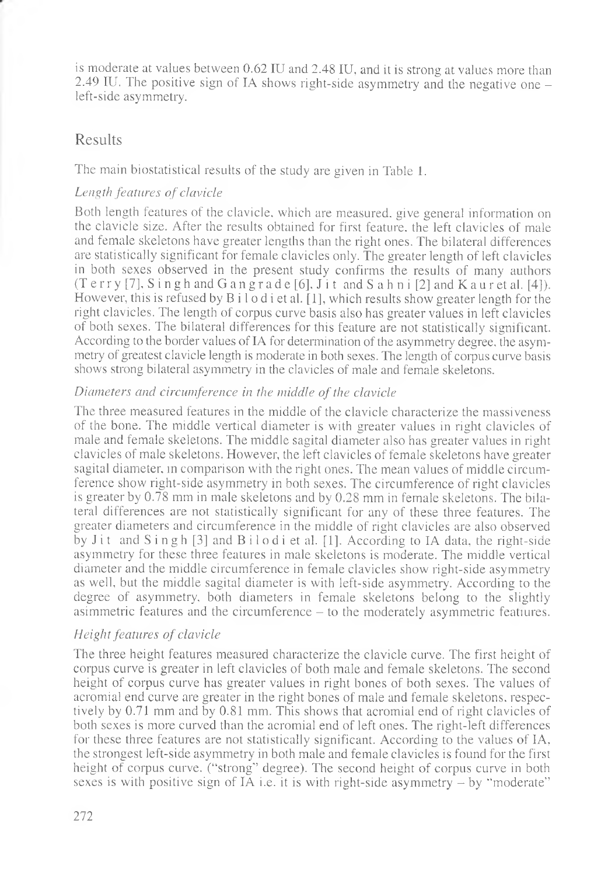is moderate at values between 0.62 IU and 2.48 IU, and it is strong at values more than 2.49 IU. The positive sign of IA shows right-side asymmetry and the negative one left-side asymmetry.

## Results

The main biostatistical results of the study are given in Table 1.

#### *Length features of clavicle*

Both length features of the clavicle, which are measured, give general information on the clavicle size. After the results obtained for first feature, the left clavicles of male and female skeletons have greater lengths than the right ones. The bilateral differences are statistically significant for female clavicles only. The greater length of left clavicles in both sexes observed in the present study confirms the results of many authors (Terry [7], Singh and G angrade [6], Jit and S ah n i [2] and K auret al. [4]). However, this is refused by  $B_i \cup c_i$  is et al. [1], which results show greater length for the right clavicles. The length of corpus curve basis also has greater values in left clavicles of both sexes. The bilateral differences for this feature are not statistically significant. According to the border values of IA for determination of the asymmetry degree, the asymmetry of greatest clavicle length is moderate in both sexes. The length of corpus curve basis shows strong bilateral asymmetry in the clavicles of male and female skeletons.

#### *Diameters and circumference in the middle of the clavicle*

The three measured features in the middle of the clavicle characterize the massiveness of the bone. The middle vertical diameter is with greater values in right clavicles of male and female skeletons. The middle sagital diameter also has greater values in right clavicles of male skeletons. However, the left clavicles of female skeletons have greater sagital diameter, in comparison with the right ones. The mean values of middle circumference show right-side asymmetry in both sexes. The circumference of right clavicles is greater by 0.78 mm in male skeletons and by 0.28 mm in female skeletons. The bilateral differences are not statistically significant for any of these three features. The greater diameters and circumference in the middle of right clavicles are also observed by Jit and  $S$  ingh  $[3]$  and  $B$  ilod i et al.  $[1]$ . According to IA data, the right-side asymmetry for these three features in male skeletons is moderate. The middle vertical diameter and the middle circumference in female clavicles show right-side asymmetry as well, but the middle sagital diameter is with left-side asymmetry. According to the degree of asymmetry, both diameters in female skeletons belong to the slightly asimmetric features and the circumference - to the moderately asymmetric featiures.

#### *Height features of clavicle*

The three height features measured characterize the clavicle curve. The first height of corpus curve is greater in left clavicles of both male and female skeletons. The second height of corpus curve has greater values in right bones of both sexes. The values of acromial end curve are greater in the right bones of male and female skeletons, respectively by 0.71 mm and by 0.81 mm. This shows that acromial end of right clavicles of both sexes is more curved than the acromial end of left ones. The right-left differences for these three features are not statistically significant. According to the values of IA, the strongest left-side asymmetry in both male and female clavicles is found for the first height of corpus curve, ("strong" degree). The second height of corpus curve in both sexes is with positive sign of IA i.e. it is with right-side asymmetry - by "moderate"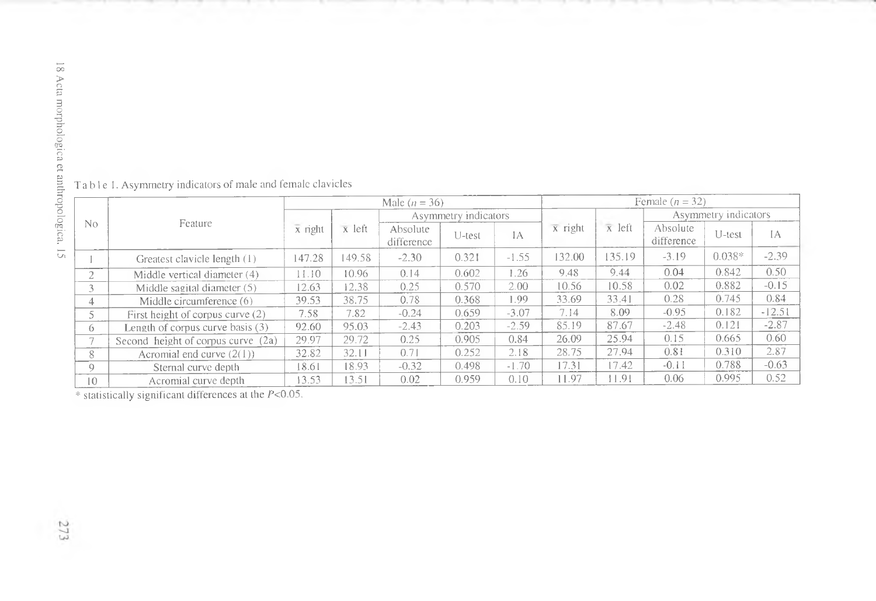| No                       | Feature                            | Male $(n = 36)$      |        |                        |        |         | Female $(n = 32)$ |                |                        |          |          |
|--------------------------|------------------------------------|----------------------|--------|------------------------|--------|---------|-------------------|----------------|------------------------|----------|----------|
|                          |                                    | $\overline{x}$ right | x left | Asymmetry indicators   |        |         |                   |                | Asymmetry indicators   |          |          |
|                          |                                    |                      |        | Absolute<br>difference | U-test | 1A      | $\bar{x}$ right   | $\bar{x}$ left | Absolute<br>difference | U-test   | IΑ       |
|                          | Greatest clavicle length (1)       | 147.28               | 149.58 | $-2.30$                | 0.321  | $-1.55$ | 132.00            | 135.19         | $-3.19$                | $0.038*$ | $-2.39$  |
| $\sim$<br>$\mathcal{L}$  | Middle vertical diameter (4)       | 11.10                | 10.96  | 0.14                   | 0.602  | 1.26    | 9.48              | 9.44           | 0.04                   | 0.842    | 0.50     |
|                          | Middle sagital diameter (5)        | 12.63                | 12.38  | 0.25                   | 0.570  | 2.00    | 10.56             | 10.58          | 0.02                   | 0.882    | $-0.15$  |
| 4                        | Middle circumference (6)           | 39.53                | 38.75  | 0.78                   | 0.368  | 1.99    | 33.69             | 33.41          | 0.28                   | 0.745    | 0.84     |
|                          | First height of corpus curve (2)   | 7.58                 | 7.82   | $-0.24$                | 0.659  | $-3.07$ | 7.14              | 8.09           | $-0.95$                | 0.182    | $-12.51$ |
| $^{(1)}$                 | Length of corpus curve basis (3)   | 92.60                | 95.03  | $-2.43$                | 0.203  | $-2.59$ | 85.19             | 87.67          | $-2.48$                | 0.121    | $-2.87$  |
| $\overline{\phantom{0}}$ | Second height of corpus curve (2a) | 29.97                | 29.72  | 0.25                   | 0.905  | 0.84    | 26.09             | 25.94          | 0.15                   | 0.665    | 0.60     |
| 8                        | Acromial end curve $(2(1))$        | 32.82                | 32.11  | 0.71                   | 0.252  | 2.18    | 28.75             | 27.94          | 0.81                   | 0.310    | 2.87     |
| Q                        | Sternal curve depth                | 18.61                | 18.93  | $-0.32$                | 0.498  | $-1.70$ | 17.31             | 17.42          | $-0.11$                | 0.788    | $-0.63$  |
| 10 <sup>°</sup>          | Acromial curve depth               | 13.53                | 3.51   | 0.02                   | 0.959  | 0.10    | 11.97             | 11.91          | 0.06                   | 0.995    | 0.52     |

Table 1. Asymmetry indicators of male and female clavicles

\* statistically significant differences at the  $P<0.05$ .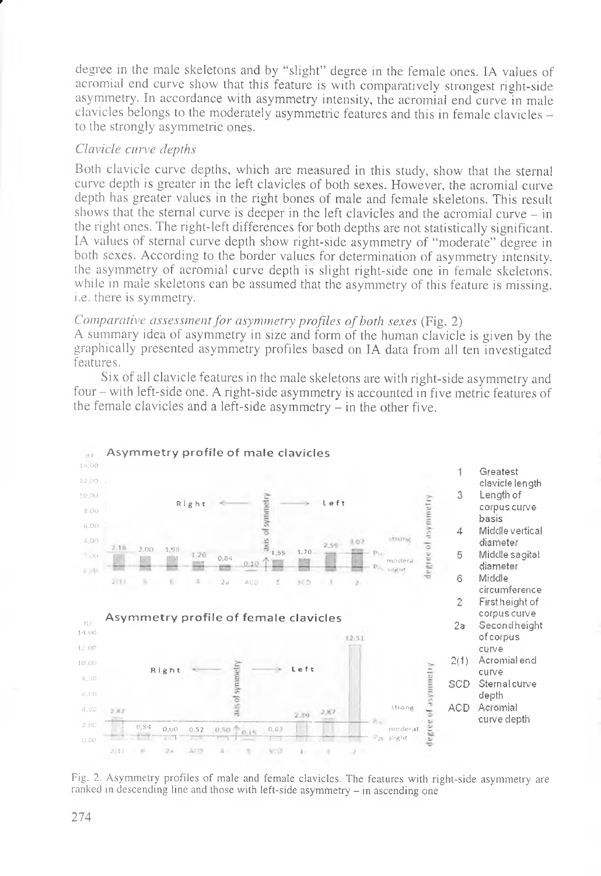degree in the male skeletons and by "slight" degree in the female ones. IA values of acromial end curve show that this feature is with comparatively strongest right-side asymmetry. In accordance with asymmetry intensity, the acromial end curve in male clavicles belongs to the moderately asymmetric features and this in female clavicles to the strongly asymmetric ones.

#### Clavicle curve depths

Both clavicle curve depths, which are measured in this study, show that the sternal curve depth is greater in the left clavicles of both sexes. However, the acromial curve depth has greater values in the right bones of male and female skeletons. This result shows that the sternal curve is deeper in the left clavicles and the acromial curve  $-$  in the right ones. The right-left differences for both depths are not statistically significant. IA values of sternal curve depth show right-side asymmetry of "moderate" degree in both sexes. According to the border values for determination of asymmetry intensity. the asymmetry of acromial curve depth is slight right-side one in female skeletons. while in male skeletons can be assumed that the asymmetry of this feature is missing. *i.e.* there is symmetry.

#### Comparative assessment for asymmetry profiles of both sexes (Fig. 2)

A summary idea of asymmetry in size and form of the human clavicle is given by the graphically presented asymmetry profiles based on IA data from all ten investigated features.

Six of all clavicle features in the male skeletons are with right-side asymmetry and four – with left-side one. A right-side asymmetry is accounted in five metric features of the female clavicles and a left-side asymmetry – in the other five.